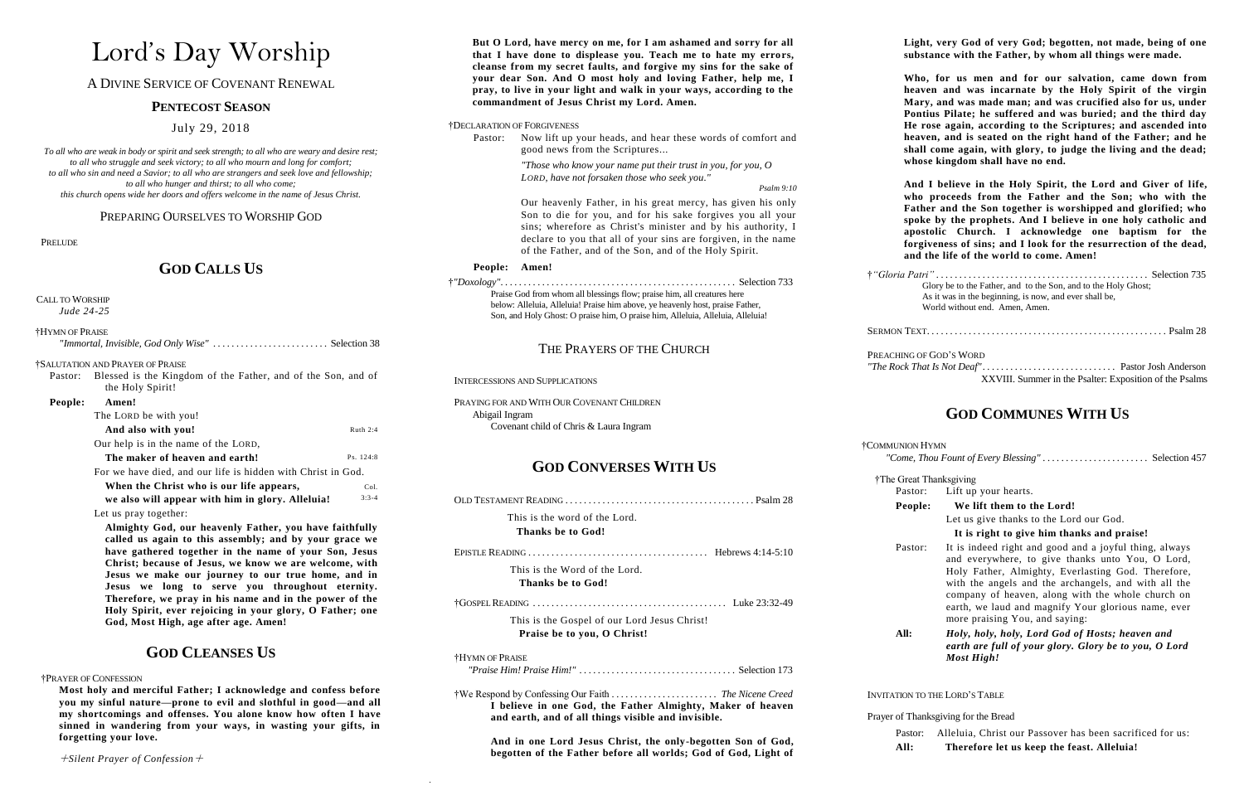# Lord's Day Worship

A DIVINE SERVICE OF COVENANT RENEWAL

### **PENTECOST SEASON**

July 29, 2018

*To all who are weak in body or spirit and seek strength; to all who are weary and desire rest; to all who struggle and seek victory; to all who mourn and long for comfort; to all who sin and need a Savior; to all who are strangers and seek love and fellowship; to all who hunger and thirst; to all who come; this church opens wide her doors and offers welcome in the name of Jesus Christ.*

PREPARING OURSELVES TO WORSHIP GOD

#### PRELUDE

### **GOD CALLS US**

CALL TO WORSHIP

*Jude 24-25*

| †HYMN OF PRAISE |                                                                      |
|-----------------|----------------------------------------------------------------------|
|                 |                                                                      |
|                 | <b><i>†SALUTATION AND PRAYER OF PRAISE</i></b>                       |
|                 | Pastor: Blessed is the Kingdom of the Father, and of the Son, and of |
|                 | the Holy Spirit!                                                     |

#### **People: Amen!**

| 1.111.11.1                                                   |            |
|--------------------------------------------------------------|------------|
| The LORD be with you!                                        |            |
| And also with you!                                           | Ruth $2:4$ |
| Our help is in the name of the LORD,                         |            |
| The maker of heaven and earth!                               | Ps. 124:8  |
| For we have died, and our life is hidden with Christ in God. |            |
| When the Christ who is our life annears                      |            |

| When the Christ who is our life appears,         | Col.    |
|--------------------------------------------------|---------|
| we also will appear with him in glory. Alleluia! | $3:3-4$ |

#### Let us pray together:

**Almighty God, our heavenly Father, you have faithfully called us again to this assembly; and by your grace we have gathered together in the name of your Son, Jesus Christ; because of Jesus, we know we are welcome, with Jesus we make our journey to our true home, and in Jesus we long to serve you throughout eternity. Therefore, we pray in his name and in the power of the Holy Spirit, ever rejoicing in your glory, O Father; one God, Most High, age after age. Amen!**

## **GOD CLEANSES US**

#### †PRAYER OF CONFESSION

**Most holy and merciful Father; I acknowledge and confess before you my sinful nature—prone to evil and slothful in good—and all my shortcomings and offenses. You alone know how often I have sinned in wandering from your ways, in wasting your gifts, in forgetting your love.** 

**I believe in one God, the Father Almighty, Maker of heaven and earth, and of all things visible and invisible.**

**And in one Lord Jesus Christ, the only-begotten Son of God, begotten of the Father before all worlds; God of God, Light of** 

 $\sim 10^{-1}$ 

| But O Lord, have mercy on me, for I am ashamed and sorry for all<br>that I have done to displease you. Teach me to hate my errors,<br>cleanse from my secret faults, and forgive my sins for the sake of<br>your dear Son. And O most holy and loving Father, help me, I<br>pray, to live in your light and walk in your ways, according to the |                                                                                                                                                                                                                                                                                                                                                                                                                                                       | Light, very God of very God; begotten, not made, being of one<br>substance with the Father, by whom all things were made.<br>Who, for us men and for our salvation, came down from<br>heaven and was incarnate by the Holy Spirit of the virgin<br>Mary, and was made man; and was crucified also for us, under<br>Pontius Pilate; he suffered and was buried; and the third day<br>He rose again, according to the Scriptures; and ascended into<br>heaven, and is seated on the right hand of the Father; and he<br>shall come again, with glory, to judge the living and the dead; |                                                                                                                                                            |  |
|-------------------------------------------------------------------------------------------------------------------------------------------------------------------------------------------------------------------------------------------------------------------------------------------------------------------------------------------------|-------------------------------------------------------------------------------------------------------------------------------------------------------------------------------------------------------------------------------------------------------------------------------------------------------------------------------------------------------------------------------------------------------------------------------------------------------|---------------------------------------------------------------------------------------------------------------------------------------------------------------------------------------------------------------------------------------------------------------------------------------------------------------------------------------------------------------------------------------------------------------------------------------------------------------------------------------------------------------------------------------------------------------------------------------|------------------------------------------------------------------------------------------------------------------------------------------------------------|--|
| commandment of Jesus Christ my Lord. Amen.<br>†DECLARATION OF FORGIVENESS<br>Now lift up your heads, and hear these words of comfort and<br>Pastor:<br>good news from the Scriptures                                                                                                                                                            |                                                                                                                                                                                                                                                                                                                                                                                                                                                       |                                                                                                                                                                                                                                                                                                                                                                                                                                                                                                                                                                                       |                                                                                                                                                            |  |
|                                                                                                                                                                                                                                                                                                                                                 | "Those who know your name put their trust in you, for you, $O$<br>LORD, have not forsaken those who seek you."<br>Psalm 9:10<br>Our heavenly Father, in his great mercy, has given his only<br>Son to die for you, and for his sake forgives you all your<br>sins; wherefore as Christ's minister and by his authority, I<br>declare to you that all of your sins are forgiven, in the name<br>of the Father, and of the Son, and of the Holy Spirit. | whose kingdom shall have no end.<br>And I believe in the Holy Spirit, the Lord and Giver of life,<br>who proceeds from the Father and the Son; who with the<br>Father and the Son together is worshipped and glorified; who<br>spoke by the prophets. And I believe in one holy catholic and<br>apostolic Church. I acknowledge one baptism for the<br>forgiveness of sins; and I look for the resurrection of the dead,<br>and the life of the world to come. Amen!                                                                                                                  |                                                                                                                                                            |  |
| People: Amen!<br>Praise God from whom all blessings flow; praise him, all creatures here<br>below: Alleluia, Alleluia! Praise him above, ye heavenly host, praise Father,<br>Son, and Holy Ghost: O praise him, O praise him, Alleluia, Alleluia, Alleluia!                                                                                     |                                                                                                                                                                                                                                                                                                                                                                                                                                                       |                                                                                                                                                                                                                                                                                                                                                                                                                                                                                                                                                                                       | Glory be to the Father, and to the Son, and to the Holy Ghost;<br>As it was in the beginning, is now, and ever shall be,<br>World without end. Amen, Amen. |  |
| THE PRAYERS OF THE CHURCH                                                                                                                                                                                                                                                                                                                       |                                                                                                                                                                                                                                                                                                                                                                                                                                                       | PREACHING OF GOD'S WORD                                                                                                                                                                                                                                                                                                                                                                                                                                                                                                                                                               |                                                                                                                                                            |  |
|                                                                                                                                                                                                                                                                                                                                                 | <b>INTERCESSIONS AND SUPPLICATIONS</b>                                                                                                                                                                                                                                                                                                                                                                                                                |                                                                                                                                                                                                                                                                                                                                                                                                                                                                                                                                                                                       | XXVIII. Summer in the Psalter: Exposition of the Psalms                                                                                                    |  |
| PRAYING FOR AND WITH OUR COVENANT CHILDREN<br>Abigail Ingram<br>Covenant child of Chris & Laura Ingram                                                                                                                                                                                                                                          |                                                                                                                                                                                                                                                                                                                                                                                                                                                       | <b>GOD COMMUNES WITH US</b>                                                                                                                                                                                                                                                                                                                                                                                                                                                                                                                                                           |                                                                                                                                                            |  |
| <b>GOD CONVERSES WITH US</b>                                                                                                                                                                                                                                                                                                                    |                                                                                                                                                                                                                                                                                                                                                                                                                                                       | †COMMUNION HYMN                                                                                                                                                                                                                                                                                                                                                                                                                                                                                                                                                                       | "Come, Thou Fount of Every Blessing" Selection 457                                                                                                         |  |
|                                                                                                                                                                                                                                                                                                                                                 |                                                                                                                                                                                                                                                                                                                                                                                                                                                       | †The Great Thanksgiving<br>Pastor:                                                                                                                                                                                                                                                                                                                                                                                                                                                                                                                                                    | Lift up your hearts.                                                                                                                                       |  |
|                                                                                                                                                                                                                                                                                                                                                 |                                                                                                                                                                                                                                                                                                                                                                                                                                                       | People:                                                                                                                                                                                                                                                                                                                                                                                                                                                                                                                                                                               | We lift them to the Lord!                                                                                                                                  |  |
|                                                                                                                                                                                                                                                                                                                                                 | This is the word of the Lord.<br>Thanks be to God!                                                                                                                                                                                                                                                                                                                                                                                                    |                                                                                                                                                                                                                                                                                                                                                                                                                                                                                                                                                                                       | Let us give thanks to the Lord our God.<br>It is right to give him thanks and praise!                                                                      |  |
| This is the Word of the Lord.<br>Thanks be to God!                                                                                                                                                                                                                                                                                              |                                                                                                                                                                                                                                                                                                                                                                                                                                                       | Pastor:                                                                                                                                                                                                                                                                                                                                                                                                                                                                                                                                                                               | It is indeed right and good and a joyful thing, always<br>and everywhere, to give thanks unto You, O Lord,                                                 |  |
|                                                                                                                                                                                                                                                                                                                                                 |                                                                                                                                                                                                                                                                                                                                                                                                                                                       |                                                                                                                                                                                                                                                                                                                                                                                                                                                                                                                                                                                       | Holy Father, Almighty, Everlasting God. Therefore,<br>with the angels and the archangels, and with all the                                                 |  |
|                                                                                                                                                                                                                                                                                                                                                 |                                                                                                                                                                                                                                                                                                                                                                                                                                                       |                                                                                                                                                                                                                                                                                                                                                                                                                                                                                                                                                                                       | company of heaven, along with the whole church on<br>earth, we laud and magnify Your glorious name, ever                                                   |  |
|                                                                                                                                                                                                                                                                                                                                                 | This is the Gospel of our Lord Jesus Christ!<br>Praise be to you, O Christ!                                                                                                                                                                                                                                                                                                                                                                           |                                                                                                                                                                                                                                                                                                                                                                                                                                                                                                                                                                                       | more praising You, and saying:<br>Holy, holy, holy, Lord God of Hosts; heaven and                                                                          |  |
| †HYMN OF PRAISE                                                                                                                                                                                                                                                                                                                                 |                                                                                                                                                                                                                                                                                                                                                                                                                                                       |                                                                                                                                                                                                                                                                                                                                                                                                                                                                                                                                                                                       | earth are full of your glory. Glory be to you, O Lord<br><b>Most High!</b>                                                                                 |  |
|                                                                                                                                                                                                                                                                                                                                                 |                                                                                                                                                                                                                                                                                                                                                                                                                                                       | <b>INVITATION TO THE LORD'S TABLE</b>                                                                                                                                                                                                                                                                                                                                                                                                                                                                                                                                                 |                                                                                                                                                            |  |

Prayer of Thanksgiving for the Bread

Pastor: Alleluia, Christ our Passover has been sacrificed for us: **All: Therefore let us keep the feast. Alleluia!**